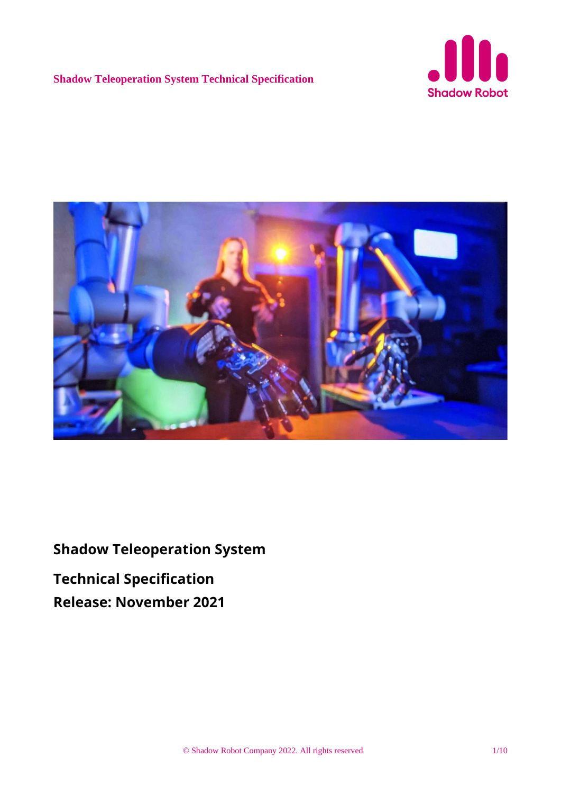



**Shadow Teleoperation System Technical Specification Release: November 2021**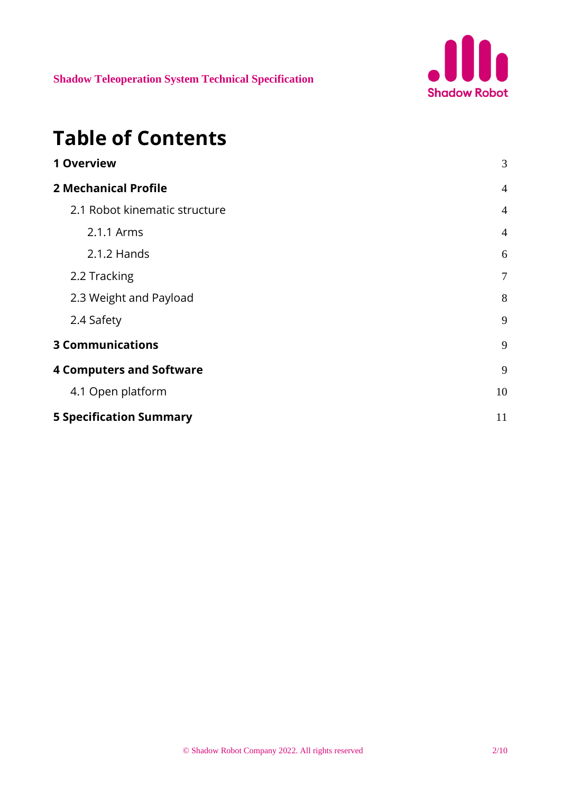

# **Table of Contents**

| 3              |
|----------------|
| $\overline{4}$ |
| $\overline{4}$ |
| $\overline{4}$ |
| 6              |
| $\overline{7}$ |
| 8              |
| 9              |
| 9              |
| 9              |
| 10             |
| 11             |
|                |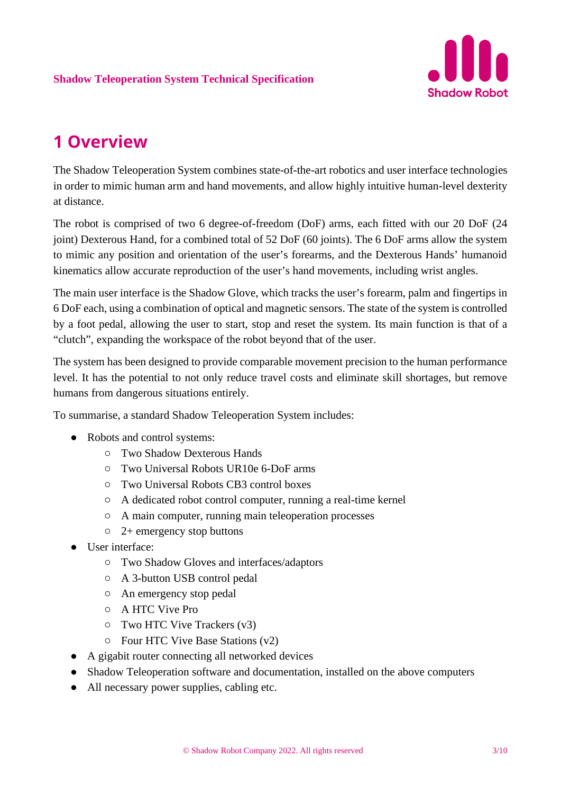

## <span id="page-2-0"></span>**1 Overview**

The Shadow Teleoperation System combines state-of-the-art robotics and user interface technologies in order to mimic human arm and hand movements, and allow highly intuitive human-level dexterity at distance.

The robot is comprised of two 6 degree-of-freedom (DoF) arms, each fitted with our 20 DoF (24 joint) Dexterous Hand, for a combined total of 52 DoF (60 joints). The 6 DoF arms allow the system to mimic any position and orientation of the user's forearms, and the Dexterous Hands' humanoid kinematics allow accurate reproduction of the user's hand movements, including wrist angles.

The main user interface is the Shadow Glove, which tracks the user's forearm, palm and fingertips in 6 DoF each, using a combination of optical and magnetic sensors. The state of the system is controlled by a foot pedal, allowing the user to start, stop and reset the system. Its main function is that of a "clutch", expanding the workspace of the robot beyond that of the user.

The system has been designed to provide comparable movement precision to the human performance level. It has the potential to not only reduce travel costs and eliminate skill shortages, but remove humans from dangerous situations entirely.

To summarise, a standard Shadow Teleoperation System includes:

- Robots and control systems:
	- Two Shadow Dexterous Hands
	- Two Universal Robots UR10e 6-DoF arms
	- Two Universal Robots CB3 control boxes
	- A dedicated robot control computer, running a real-time kernel
	- A main computer, running main teleoperation processes
	- 2+ emergency stop buttons
- User interface:
	- Two Shadow Gloves and interfaces/adaptors
	- A 3-button USB control pedal
	- An emergency stop pedal
	- A HTC Vive Pro
	- Two HTC Vive Trackers (v3)
	- Four HTC Vive Base Stations (v2)
- A gigabit router connecting all networked devices
- Shadow Teleoperation software and documentation, installed on the above computers
- All necessary power supplies, cabling etc.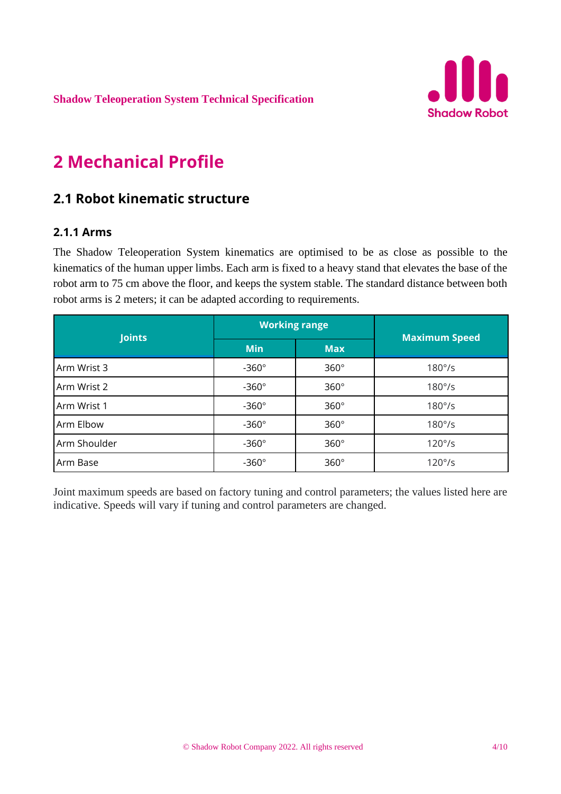

# <span id="page-3-0"></span>**2 Mechanical Profile**

### <span id="page-3-1"></span>**2.1 Robot kinematic structure**

#### <span id="page-3-2"></span>**2.1.1 Arms**

The Shadow Teleoperation System kinematics are optimised to be as close as possible to the kinematics of the human upper limbs. Each arm is fixed to a heavy stand that elevates the base of the robot arm to 75 cm above the floor, and keeps the system stable. The standard distance between both robot arms is 2 meters; it can be adapted according to requirements.

| <b>Joints</b> | <b>Working range</b> |             |                      |
|---------------|----------------------|-------------|----------------------|
|               | <b>Min</b>           | <b>Max</b>  | <b>Maximum Speed</b> |
| Arm Wrist 3   | $-360^\circ$         | $360^\circ$ | $180^\circ$ /s       |
| Arm Wrist 2   | $-360^\circ$         | $360^\circ$ | $180^\circ$ /s       |
| Arm Wrist 1   | $-360^\circ$         | $360^\circ$ | $180^\circ$ /s       |
| Arm Elbow     | $-360^\circ$         | $360^\circ$ | $180^\circ$ /s       |
| Arm Shoulder  | $-360^\circ$         | $360^\circ$ | $120^{\circ}/s$      |
| Arm Base      | $-360^\circ$         | $360^\circ$ | $120^{\circ}/s$      |

Joint maximum speeds are based on factory tuning and control parameters; the values listed here are indicative. Speeds will vary if tuning and control parameters are changed.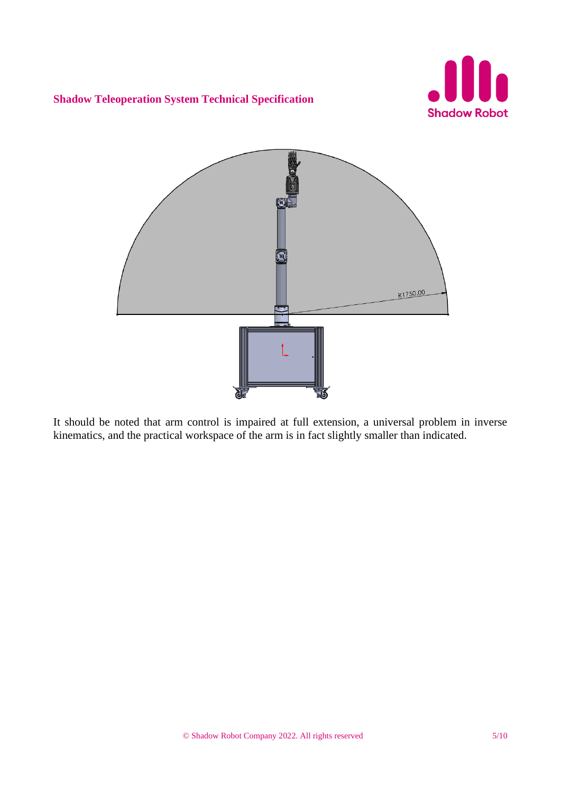



It should be noted that arm control is impaired at full extension, a universal problem in inverse kinematics, and the practical workspace of the arm is in fact slightly smaller than indicated.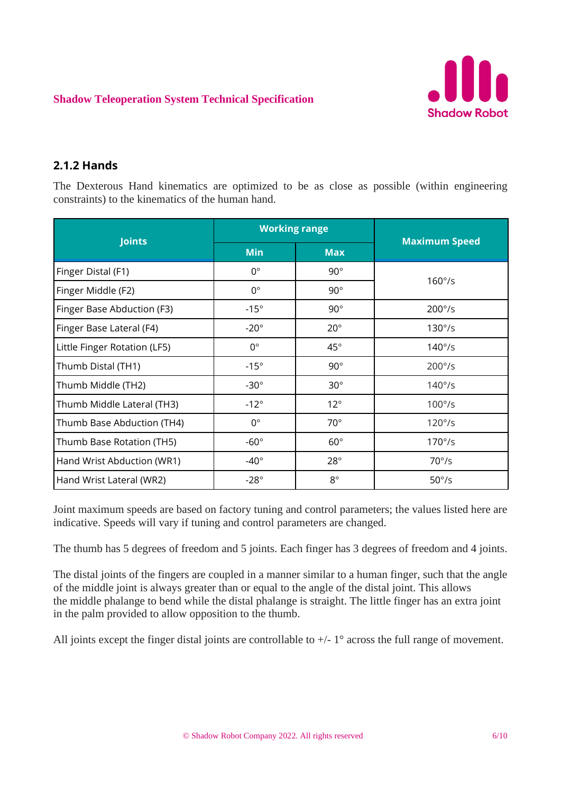

### <span id="page-5-0"></span>**2.1.2 Hands**

The Dexterous Hand kinematics are optimized to be as close as possible (within engineering constraints) to the kinematics of the human hand.

| <b>Joints</b>                | <b>Working range</b> |              |                      |
|------------------------------|----------------------|--------------|----------------------|
|                              | <b>Min</b>           | <b>Max</b>   | <b>Maximum Speed</b> |
| Finger Distal (F1)           | $0^{\circ}$          | $90^{\circ}$ | $160^{\circ}/s$      |
| Finger Middle (F2)           | $0^{\circ}$          | $90^\circ$   |                      |
| Finger Base Abduction (F3)   | $-15^\circ$          | $90^{\circ}$ | $200^{\circ}/s$      |
| Finger Base Lateral (F4)     | $-20^\circ$          | $20^{\circ}$ | $130^{\circ}/s$      |
| Little Finger Rotation (LF5) | $0^{\circ}$          | $45^{\circ}$ | $140^{\circ}/s$      |
| Thumb Distal (TH1)           | $-15^\circ$          | $90^{\circ}$ | $200^{\circ}/s$      |
| Thumb Middle (TH2)           | $-30^\circ$          | $30^\circ$   | $140^{\circ}/s$      |
| Thumb Middle Lateral (TH3)   | $-12^{\circ}$        | $12^{\circ}$ | $100^{\circ}/s$      |
| Thumb Base Abduction (TH4)   | $0^{\circ}$          | $70^{\circ}$ | $120°$ /s            |
| Thumb Base Rotation (TH5)    | $-60^\circ$          | $60^{\circ}$ | $170^{\circ}/s$      |
| Hand Wrist Abduction (WR1)   | $-40^\circ$          | $28^\circ$   | $70^{\circ}/s$       |
| Hand Wrist Lateral (WR2)     | $-28^\circ$          | $8^{\circ}$  | $50^{\circ}/s$       |

Joint maximum speeds are based on factory tuning and control parameters; the values listed here are indicative. Speeds will vary if tuning and control parameters are changed.

The thumb has 5 degrees of freedom and 5 joints. Each finger has 3 degrees of freedom and 4 joints.

The distal joints of the fingers are coupled in a manner similar to a human finger, such that the angle of the middle joint is always greater than or equal to the angle of the distal joint. This allows the middle phalange to bend while the distal phalange is straight. The little finger has an extra joint in the palm provided to allow opposition to the thumb.

All joints except the finger distal joints are controllable to  $+/- 1^{\circ}$  across the full range of movement.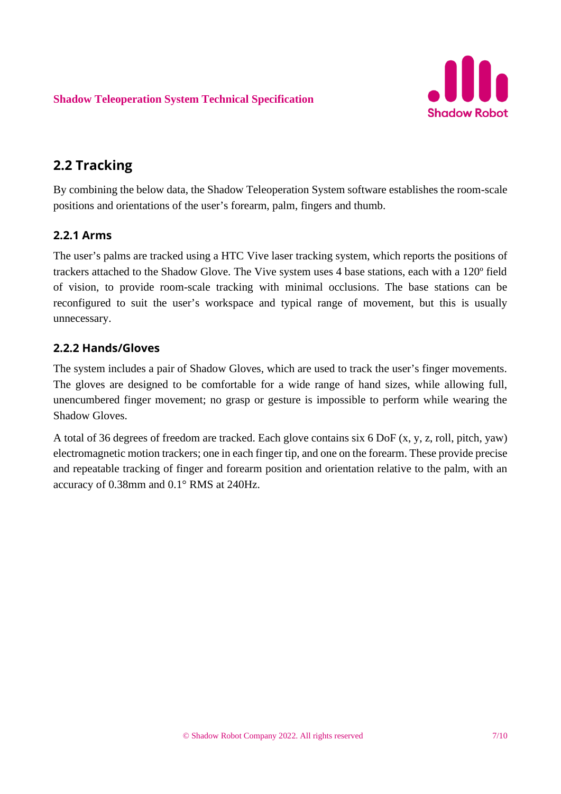

### <span id="page-6-0"></span>**2.2 Tracking**

By combining the below data, the Shadow Teleoperation System software establishes the room-scale positions and orientations of the user's forearm, palm, fingers and thumb.

### **2.2.1 Arms**

The user's palms are tracked using a HTC Vive laser tracking system, which reports the positions of trackers attached to the Shadow Glove. The Vive system uses 4 base stations, each with a 120º field of vision, to provide room-scale tracking with minimal occlusions. The base stations can be reconfigured to suit the user's workspace and typical range of movement, but this is usually unnecessary.

### **2.2.2 Hands/Gloves**

The system includes a pair of Shadow Gloves, which are used to track the user's finger movements. The gloves are designed to be comfortable for a wide range of hand sizes, while allowing full, unencumbered finger movement; no grasp or gesture is impossible to perform while wearing the Shadow Gloves.

A total of 36 degrees of freedom are tracked. Each glove contains six 6 DoF (x, y, z, roll, pitch, yaw) electromagnetic motion trackers; one in each finger tip, and one on the forearm. These provide precise and repeatable tracking of finger and forearm position and orientation relative to the palm, with an accuracy of 0.38mm and 0.1° RMS at 240Hz.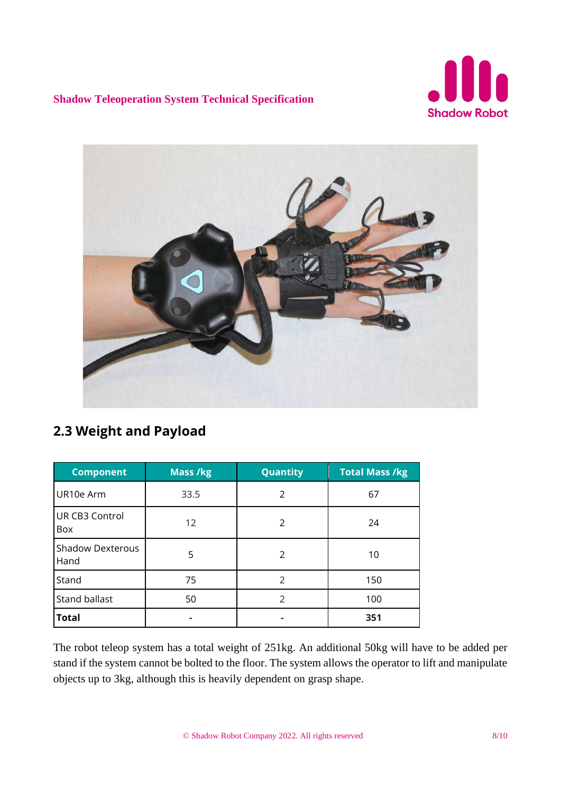



### <span id="page-7-0"></span>**2.3 Weight and Payload**

| <b>Component</b>                | <b>Mass /kg</b> | Quantity      | <b>Total Mass /kg</b> |
|---------------------------------|-----------------|---------------|-----------------------|
| UR10e Arm                       | 33.5            | 2             | 67                    |
| UR CB3 Control<br>Box           | 12              | 2             | 24                    |
| <b>Shadow Dexterous</b><br>Hand | 5               | 2             | 10                    |
| Stand                           | 75              | 2             | 150                   |
| Stand ballast                   | 50              | $\mathcal{P}$ | 100                   |
| <b>Total</b>                    |                 |               | 351                   |

The robot teleop system has a total weight of 251kg. An additional 50kg will have to be added per stand if the system cannot be bolted to the floor. The system allows the operator to lift and manipulate objects up to 3kg, although this is heavily dependent on grasp shape.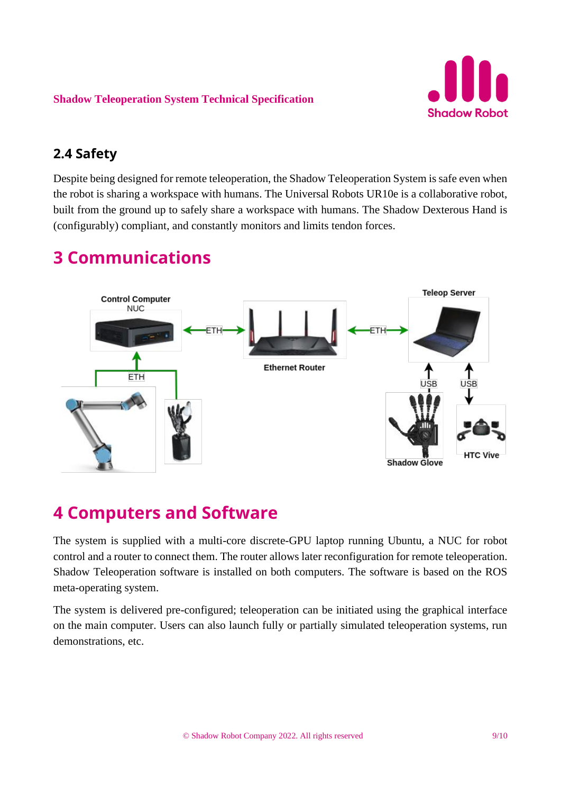

### <span id="page-8-0"></span>**2.4 Safety**

Despite being designed for remote teleoperation, the Shadow Teleoperation System is safe even when the robot is sharing a workspace with humans. The Universal Robots UR10e is a collaborative robot, built from the ground up to safely share a workspace with humans. The Shadow Dexterous Hand is (configurably) compliant, and constantly monitors and limits tendon forces.

## <span id="page-8-1"></span>**3 Communications**



## <span id="page-8-2"></span>**4 Computers and Software**

The system is supplied with a multi-core discrete-GPU laptop running Ubuntu, a NUC for robot control and a router to connect them. The router allows later reconfiguration for remote teleoperation. Shadow Teleoperation software is installed on both computers. The software is based on the ROS meta-operating system.

The system is delivered pre-configured; teleoperation can be initiated using the graphical interface on the main computer. Users can also launch fully or partially simulated teleoperation systems, run demonstrations, etc.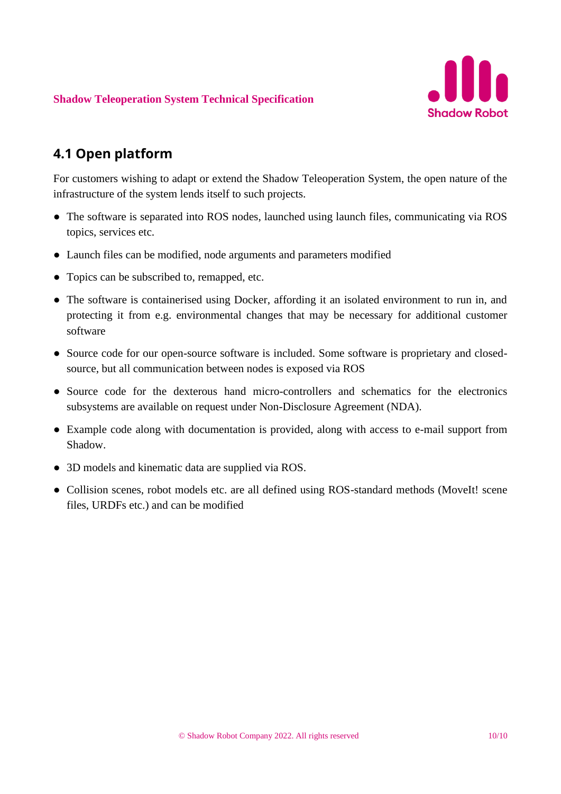

### <span id="page-9-0"></span>**4.1 Open platform**

For customers wishing to adapt or extend the Shadow Teleoperation System, the open nature of the infrastructure of the system lends itself to such projects.

- The software is separated into ROS nodes, launched using launch files, communicating via ROS topics, services etc.
- Launch files can be modified, node arguments and parameters modified
- Topics can be subscribed to, remapped, etc.
- The software is containerised using Docker, affording it an isolated environment to run in, and protecting it from e.g. environmental changes that may be necessary for additional customer software
- Source code for our open-source software is included. Some software is proprietary and closedsource, but all communication between nodes is exposed via ROS
- Source code for the dexterous hand micro-controllers and schematics for the electronics subsystems are available on request under Non-Disclosure Agreement (NDA).
- Example code along with documentation is provided, along with access to e-mail support from Shadow.
- 3D models and kinematic data are supplied via ROS.
- Collision scenes, robot models etc. are all defined using ROS-standard methods (MoveIt! scene files, URDFs etc.) and can be modified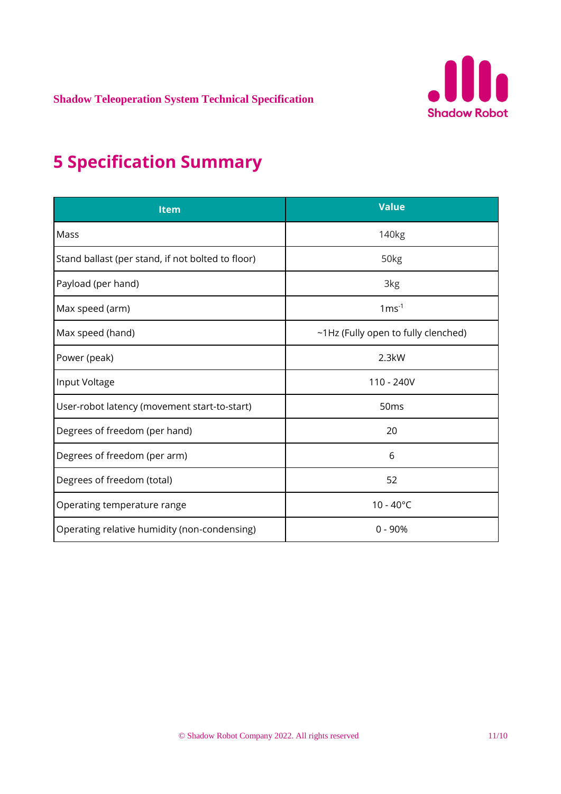

# <span id="page-10-0"></span>**5 Specification Summary**

| <b>Item</b>                                       | <b>Value</b>                        |
|---------------------------------------------------|-------------------------------------|
| Mass                                              | 140 <sub>kg</sub>                   |
| Stand ballast (per stand, if not bolted to floor) | 50 <sub>kg</sub>                    |
| Payload (per hand)                                | 3kg                                 |
| Max speed (arm)                                   | $1 \text{ms}^{-1}$                  |
| Max speed (hand)                                  | ~1Hz (Fully open to fully clenched) |
| Power (peak)                                      | 2.3kW                               |
| Input Voltage                                     | 110 - 240V                          |
| User-robot latency (movement start-to-start)      | 50 <sub>ms</sub>                    |
| Degrees of freedom (per hand)                     | 20                                  |
| Degrees of freedom (per arm)                      | 6                                   |
| Degrees of freedom (total)                        | 52                                  |
| Operating temperature range                       | $10 - 40^{\circ}C$                  |
| Operating relative humidity (non-condensing)      | $0 - 90%$                           |